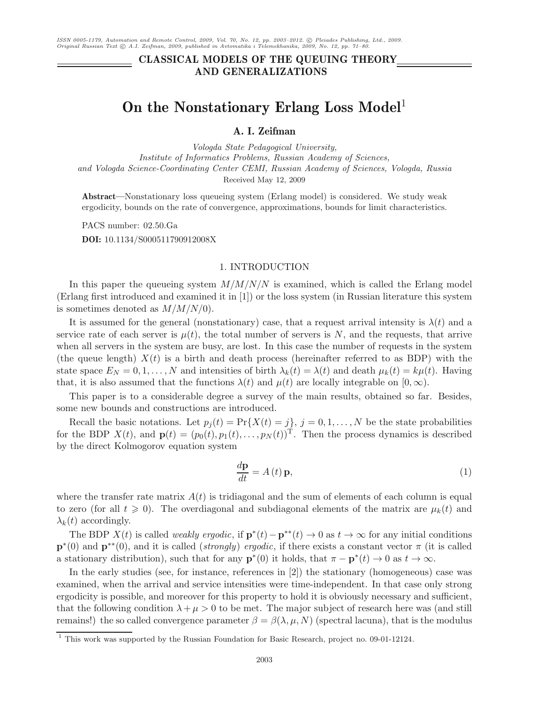# **CLASSICAL MODELS OF THE QUEUING THEORY AND GENERALIZATIONS**

# **On the Nonstationary Erlang Loss Model**<sup>1</sup>

# **A. I. Zeifman**

*Vologda State Pedagogical University, Institute of Informatics Problems, Russian Academy of Sciences, and Vologda Science-Coordinating Center CEMI, Russian Academy of Sciences, Vologda, Russia* Received May 12, 2009

**Abstract—**Nonstationary loss queueing system (Erlang model) is considered. We study weak ergodicity, bounds on the rate of convergence, approximations, bounds for limit characteristics.

PACS number: 02.50.Ga **DOI:** 10.1134/S000511790912008X

#### 1. INTRODUCTION

In this paper the queueing system  $M/M/N/N$  is examined, which is called the Erlang model (Erlang first introduced and examined it in [1]) or the loss system (in Russian literature this system is sometimes denoted as  $M/M/N/0$ .

It is assumed for the general (nonstationary) case, that a request arrival intensity is  $\lambda(t)$  and a service rate of each server is  $\mu(t)$ , the total number of servers is N, and the requests, that arrive when all servers in the system are busy, are lost. In this case the number of requests in the system (the queue length)  $X(t)$  is a birth and death process (hereinafter referred to as BDP) with the state space  $E_N = 0, 1, ..., N$  and intensities of birth  $\lambda_k(t) = \lambda(t)$  and death  $\mu_k(t) = k\mu(t)$ . Having that, it is also assumed that the functions  $\lambda(t)$  and  $\mu(t)$  are locally integrable on  $[0,\infty)$ .

This paper is to a considerable degree a survey of the main results, obtained so far. Besides, some new bounds and constructions are introduced.

Recall the basic notations. Let  $p_j(t) = Pr\{X(t) = j\}, j = 0, 1, ..., N$  be the state probabilities for the BDP  $X(t)$ , and  $\mathbf{p}(t)=(p_0(t), p_1(t),\ldots,p_N(t))^T$ . Then the process dynamics is described by the direct Kolmogorov equation system

$$
\frac{d\mathbf{p}}{dt} = A(t)\mathbf{p},\tag{1}
$$

where the transfer rate matrix  $A(t)$  is tridiagonal and the sum of elements of each column is equal to zero (for all  $t \geq 0$ ). The overdiagonal and subdiagonal elements of the matrix are  $\mu_k(t)$  and  $\lambda_k(t)$  accordingly.

The BDP  $X(t)$  is called *weakly ergodic*, if  $\mathbf{p}^*(t) - \mathbf{p}^{**}(t) \to 0$  as  $t \to \infty$  for any initial conditions  $\mathbf{p}^*(0)$  and  $\mathbf{p}^{**}(0)$ , and it is called (*strongly*) *ergodic*, if there exists a constant vector  $\pi$  (it is called a stationary distribution), such that for any  $\mathbf{p}^{*}(0)$  it holds, that  $\pi - \mathbf{p}^{*}(t) \to 0$  as  $t \to \infty$ .

In the early studies (see, for instance, references in [2]) the stationary (homogeneous) case was examined, when the arrival and service intensities were time-independent. In that case only strong ergodicity is possible, and moreover for this property to hold it is obviously necessary and sufficient, that the following condition  $\lambda + \mu > 0$  to be met. The major subject of research here was (and still remains!) the so called convergence parameter  $\beta = \beta(\lambda, \mu, N)$  (spectral lacuna), that is the modulus

<sup>&</sup>lt;sup>1</sup> This work was supported by the Russian Foundation for Basic Research, project no. 09-01-12124.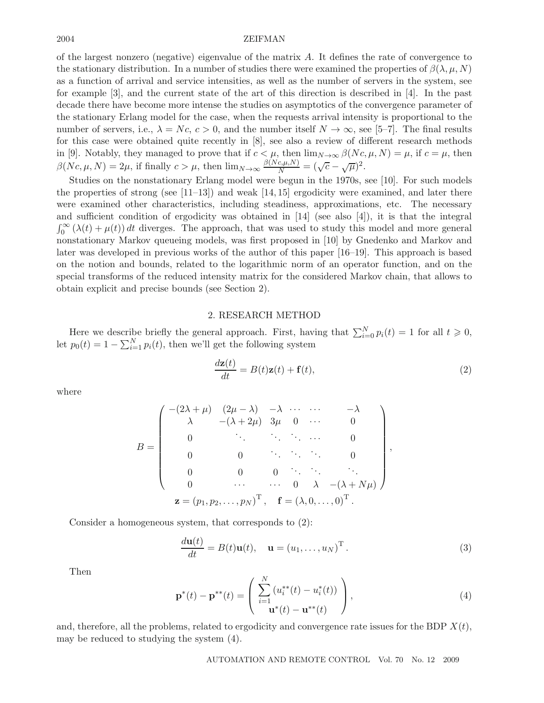of the largest nonzero (negative) eigenvalue of the matrix A. It defines the rate of convergence to the stationary distribution. In a number of studies there were examined the properties of  $\beta(\lambda,\mu,N)$ as a function of arrival and service intensities, as well as the number of servers in the system, see for example [3], and the current state of the art of this direction is described in [4]. In the past decade there have become more intense the studies on asymptotics of the convergence parameter of the stationary Erlang model for the case, when the requests arrival intensity is proportional to the number of servers, i.e.,  $\lambda = Nc$ ,  $c > 0$ , and the number itself  $N \to \infty$ , see [5–7]. The final results for this case were obtained quite recently in [8], see also a review of different research methods in [9]. Notably, they managed to prove that if  $c < \mu$ , then  $\lim_{N \to \infty} \beta(Nc, \mu, N) = \mu$ , if  $c = \mu$ , then  $\beta(Nc, \mu, N) = 2\mu$ , if finally  $c > \mu$ , then  $\lim_{N \to \infty} \frac{\beta(Nc, \mu, N)}{N} = (\sqrt{c} - \sqrt{\mu})^2$ .

Studies on the nonstationary Erlang model were begun in the 1970s, see [10]. For such models the properties of strong (see  $[11-13]$ ) and weak  $[14, 15]$  ergodicity were examined, and later there were examined other characteristics, including steadiness, approximations, etc. The necessary and sufficient condition of ergodicity was obtained in [14] (see also [4]), it is that the integral  $\int_0^\infty (\lambda(t) + \mu(t)) dt$  diverges. The approach, that was used to study this model and more general nonstationary Markov queueing models, was first proposed in [10] by Gnedenko and Markov and later was developed in previous works of the author of this paper [16–19]. This approach is based on the notion and bounds, related to the logarithmic norm of an operator function, and on the special transforms of the reduced intensity matrix for the considered Markov chain, that allows to obtain explicit and precise bounds (see Section 2).

#### 2. RESEARCH METHOD

Here we describe briefly the general approach. First, having that  $\sum_{i=0}^{N} p_i(t) = 1$  for all  $t \geq 0$ , let  $p_0(t) = 1 - \sum_{i=1}^{N} p_i(t)$ , then we'll get the following system

$$
\frac{d\mathbf{z}(t)}{dt} = B(t)\mathbf{z}(t) + \mathbf{f}(t),\tag{2}
$$

where

$$
B = \begin{pmatrix} -(2\lambda + \mu) & (2\mu - \lambda) & -\lambda & \cdots & \cdots & -\lambda \\ \lambda & -(\lambda + 2\mu) & 3\mu & 0 & \cdots & 0 \\ 0 & \ddots & \ddots & \ddots & \cdots & 0 \\ 0 & 0 & \ddots & \ddots & \ddots & 0 \\ 0 & 0 & 0 & \ddots & \ddots & \ddots \\ 0 & \cdots & \cdots & 0 & \lambda & -(\lambda + N\mu) \end{pmatrix},
$$
  

$$
\mathbf{z} = (p_1, p_2, \ldots, p_N)^{\mathrm{T}}, \quad \mathbf{f} = (\lambda, 0, \ldots, 0)^{\mathrm{T}}.
$$

Consider a homogeneous system, that corresponds to (2):

$$
\frac{d\mathbf{u}(t)}{dt} = B(t)\mathbf{u}(t), \quad \mathbf{u} = (u_1, \dots, u_N)^{\mathrm{T}}.
$$
\n(3)

Then

$$
\mathbf{p}^*(t) - \mathbf{p}^{**}(t) = \begin{pmatrix} \sum_{i=1}^N (u_i^{**}(t) - u_i^*(t)) \\ \mathbf{u}^*(t) - \mathbf{u}^{**}(t) \end{pmatrix},
$$
(4)

and, therefore, all the problems, related to ergodicity and convergence rate issues for the BDP  $X(t)$ , may be reduced to studying the system (4).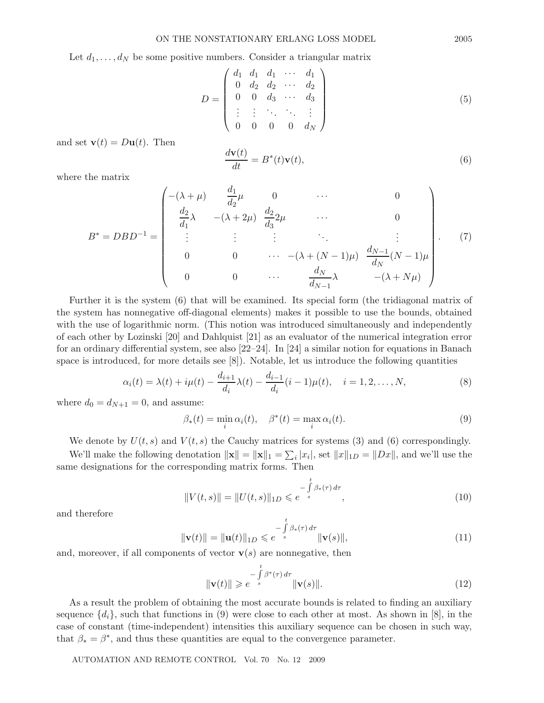Let  $d_1, \ldots, d_N$  be some positive numbers. Consider a triangular matrix

$$
D = \begin{pmatrix} d_1 & d_1 & d_1 & \cdots & d_1 \\ 0 & d_2 & d_2 & \cdots & d_2 \\ 0 & 0 & d_3 & \cdots & d_3 \\ \vdots & \vdots & \ddots & \ddots & \vdots \\ 0 & 0 & 0 & 0 & d_N \end{pmatrix}
$$
 (5)

and set  $\mathbf{v}(t) = D\mathbf{u}(t)$ . Then

$$
\frac{d\mathbf{v}(t)}{dt} = B^*(t)\mathbf{v}(t),\tag{6}
$$

where the matrix

$$
B^* = DBD^{-1} = \begin{pmatrix} -(\lambda + \mu) & \frac{d_1}{d_2}\mu & 0 & \cdots & 0\\ \frac{d_2}{d_1}\lambda & -(\lambda + 2\mu) & \frac{d_2}{d_3}2\mu & \cdots & 0\\ \vdots & \vdots & \vdots & \ddots & \vdots\\ 0 & 0 & \cdots & -(\lambda + (N-1)\mu) & \frac{d_{N-1}}{d_N}(N-1)\mu\\ 0 & 0 & \cdots & \frac{d_N}{d_{N-1}}\lambda & -(\lambda + N\mu) \end{pmatrix} .
$$
 (7)

Further it is the system (6) that will be examined. Its special form (the tridiagonal matrix of the system has nonnegative off-diagonal elements) makes it possible to use the bounds, obtained with the use of logarithmic norm. (This notion was introduced simultaneously and independently of each other by Lozinski [20] and Dahlquist [21] as an evaluator of the numerical integration error for an ordinary differential system, see also [22–24]. In [24] a similar notion for equations in Banach space is introduced, for more details see [8]). Notable, let us introduce the following quantities

$$
\alpha_i(t) = \lambda(t) + i\mu(t) - \frac{d_{i+1}}{d_i}\lambda(t) - \frac{d_{i-1}}{d_i}(i-1)\mu(t), \quad i = 1, 2, ..., N,
$$
\n(8)

where  $d_0 = d_{N+1} = 0$ , and assume:

$$
\beta_*(t) = \min_i \alpha_i(t), \quad \beta^*(t) = \max_i \alpha_i(t). \tag{9}
$$

We denote by  $U(t, s)$  and  $V(t, s)$  the Cauchy matrices for systems (3) and (6) correspondingly.

We'll make the following denotation  $\|\mathbf{x}\| = \|\mathbf{x}\|_1 = \sum_i |x_i|$ , set  $\|x\|_{1D} = \|Dx\|$ , and we'll use the same designations for the corresponding matrix forms. Then

$$
||V(t,s)|| = ||U(t,s)||_{1D} \leq e^{-\int_{s}^{t} \beta_*(\tau) d\tau}, \qquad (10)
$$

and therefore

$$
\|\mathbf{v}(t)\| = \|\mathbf{u}(t)\|_{1D} \leqslant e^{-\int_{s}^{t} \beta_{*}(\tau) d\tau} \|\mathbf{v}(s)\|,
$$
\n(11)

and, moreover, if all components of vector  $\mathbf{v}(s)$  are nonnegative, then

$$
\|\mathbf{v}(t)\| \geqslant e^{-\int_{s}^{t} \beta^{*}(\tau) d\tau} \|\mathbf{v}(s)\|.
$$
\n(12)

As a result the problem of obtaining the most accurate bounds is related to finding an auxiliary sequence  $\{d_i\}$ , such that functions in (9) were close to each other at most. As shown in [8], in the case of constant (time-independent) intensities this auxiliary sequence can be chosen in such way, that  $\beta_* = \beta^*$ , and thus these quantities are equal to the convergence parameter.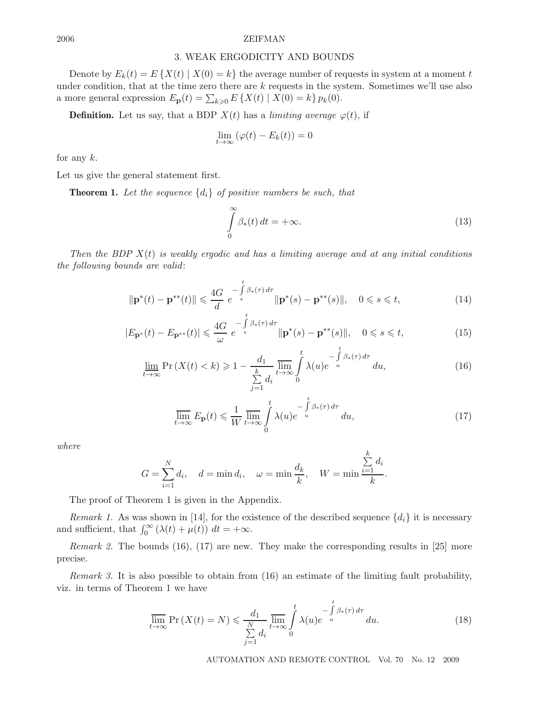## 3. WEAK ERGODICITY AND BOUNDS

Denote by  $E_k(t) = E\{X(t) | X(0) = k\}$  the average number of requests in system at a moment t under condition, that at the time zero there are  $k$  requests in the system. Sometimes we'll use also a more general expression  $E_{\mathbf{p}}(t) = \sum_{k \geqslant 0} E\left\{X(t) \mid X(0) = k\right\} p_k(0)$ .

**Definition.** Let us say, that a BDP  $X(t)$  has a *limiting average*  $\varphi(t)$ , if

$$
\lim_{t \to \infty} (\varphi(t) - E_k(t)) = 0
$$

for any  $k$ .

Let us give the general statement first.

**Theorem 1.** *Let the sequence* {di} *of positive numbers be such, that*

$$
\int_{0}^{\infty} \beta_{*}(t) dt = +\infty.
$$
\n(13)

*Then the BDP* X(t) *is weakly ergodic and has a limiting average and at any initial conditions the following bounds are valid*:

$$
\|\mathbf{p}^*(t) - \mathbf{p}^{**}(t)\| \leq \frac{4G}{d} e^{-\int_{s}^{t} \beta_*(\tau) d\tau} \|\mathbf{p}^*(s) - \mathbf{p}^{**}(s)\|, \quad 0 \leq s \leq t,
$$
\n(14)

$$
|E_{\mathbf{p}^*}(t) - E_{\mathbf{p}^{**}}(t)| \leq \frac{4G}{\omega} e^{-\int_{s}^{\infty} \beta_*(\tau) d\tau} ||\mathbf{p}^*(s) - \mathbf{p}^{**}(s)||, \quad 0 \leq s \leq t,
$$
\n(15)

$$
\lim_{t \to \infty} \Pr\left(X(t) < k\right) \geqslant 1 - \frac{d_1}{\sum\limits_{j=1}^k d_i} \lim_{t \to \infty} \int\limits_0^t \lambda(u) e^{-\int\limits_u^t \beta_*(\tau) d\tau} du,\tag{16}
$$

$$
\overline{\lim}_{t \to \infty} E_{\mathbf{p}}(t) \leq \frac{1}{W} \overline{\lim}_{t \to \infty} \int_{0}^{t} \lambda(u) e^{-\int_{u}^{t} \beta_{*}(\tau) d\tau} du,
$$
\n(17)

*where*

$$
G = \sum_{i=1}^{N} d_i, \quad d = \min d_i, \quad \omega = \min \frac{d_k}{k}, \quad W = \min \frac{\sum_{i=1}^{k} d_i}{k}.
$$

The proof of Theorem 1 is given in the Appendix.

*Remark 1.* As was shown in [14], for the existence of the described sequence  $\{d_i\}$  it is necessary and sufficient, that  $\int_0^\infty (\lambda(t) + \mu(t)) dt = +\infty$ .

*Remark 2.* The bounds (16), (17) are new. They make the corresponding results in [25] more precise.

*Remark 3.* It is also possible to obtain from (16) an estimate of the limiting fault probability, viz. in terms of Theorem 1 we have

$$
\overline{\lim}_{t \to \infty} \Pr\left(X(t) = N\right) \leq \frac{d_1}{\sum_{j=1}^{N} d_i} \overline{\lim}_{t \to \infty} \int_{0}^{t} \lambda(u) e^{-\int_{u}^{t} \beta_*(\tau) d\tau} du. \tag{18}
$$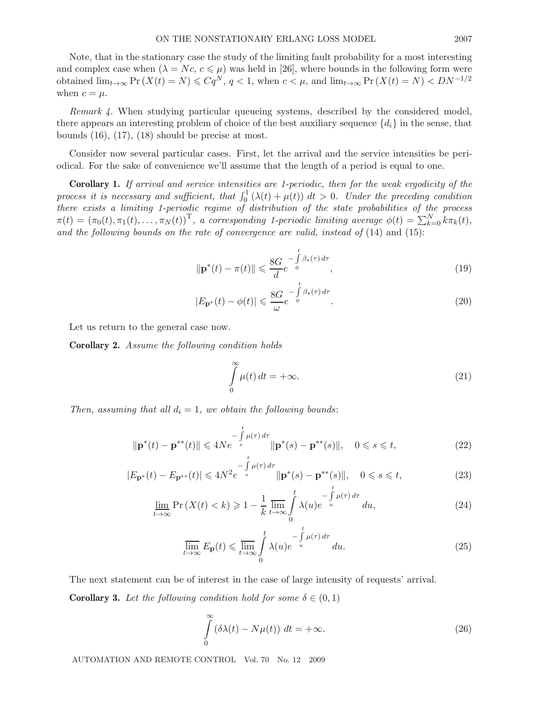Note, that in the stationary case the study of the limiting fault probability for a most interesting and complex case when  $(\lambda = Nc, c \leq \mu)$  was held in [26], where bounds in the following form were obtained  $\lim_{t\to\infty} \Pr(X(t) = N) \leqslant Cq^N$ ,  $q < 1$ , when  $c < \mu$ , and  $\lim_{t\to\infty} \Pr(X(t) = N) < DN^{-1/2}$ when  $c = \mu$ .

*Remark 4.* When studying particular queueing systems, described by the considered model, there appears an interesting problem of choice of the best auxiliary sequence  $\{d_i\}$  in the sense, that bounds (16), (17), (18) should be precise at most.

Consider now several particular cases. First, let the arrival and the service intensities be periodical. For the sake of convenience we'll assume that the length of a period is equal to one.

**Corollary 1.** *If arrival and service intensities are 1-periodic, then for the weak ergodicity of the process it is necessary and sufficient, that*  $\int_0^1 (\lambda(t) + \mu(t)) dt > 0$ *. Under the preceding condition there exists a limiting 1-periodic regime of distribution of the state probabilities of the process*  $\pi(t)=(\pi_0(t), \pi_1(t),\ldots,\pi_N(t))^{\mathrm{T}},$  a corresponding 1-periodic limiting average  $\phi(t) = \sum_{k=0}^N k \pi_k(t)$ , *and the following bounds on the rate of convergence are valid, instead of* (14) and (15):

$$
\|\mathbf{p}^*(t) - \pi(t)\| \leq \frac{8G}{d} e^{-\int_0^t \beta_*(\tau) d\tau},
$$
\n(19)

$$
|E_{\mathbf{P}^*}(t) - \phi(t)| \leqslant \frac{8G}{\omega} e^{-\int\limits_0^t \beta_*(\tau) d\tau}.
$$
\n(20)

Let us return to the general case now.

**Corollary 2.** *Assume the following condition holds*

$$
\int_{0}^{\infty} \mu(t) dt = +\infty.
$$
\n(21)

*Then, assuming that all*  $d_i = 1$ *, we obtain the following bounds:* 

$$
\|\mathbf{p}^*(t) - \mathbf{p}^{**}(t)\| \leq 4Ne^{-\int_{s}^{t} \mu(\tau) d\tau} \|\mathbf{p}^*(s) - \mathbf{p}^{**}(s)\|, \quad 0 \leq s \leq t,
$$
\n(22)

$$
|E_{\mathbf{p}^*}(t) - E_{\mathbf{p}^{**}}(t)| \le 4N^2 e^{-\int_{s}^{\infty} \mu(\tau) d\tau} ||\mathbf{p}^*(s) - \mathbf{p}^{**}(s)||, \quad 0 \le s \le t,
$$
\n(23)

$$
\underline{\lim}_{t \to \infty} \Pr\left(X(t) < k\right) \geqslant 1 - \frac{1}{k} \overline{\lim}_{t \to \infty} \int_{0}^{t} \lambda(u) e^{-\int_{u}^{t} \mu(\tau) \, d\tau} \, du,\tag{24}
$$

$$
\overline{\lim}_{t \to \infty} E_{\mathbf{p}}(t) \leqslant \overline{\lim}_{t \to \infty} \int_{0}^{t} \lambda(u) e^{-\int_{u}^{t} \mu(\tau) d\tau} du.
$$
\n(25)

The next statement can be of interest in the case of large intensity of requests' arrival.

**Corollary 3.** Let the following condition hold for some  $\delta \in (0,1)$ 

$$
\int_{0}^{\infty} (\delta \lambda(t) - N\mu(t)) dt = +\infty.
$$
\n(26)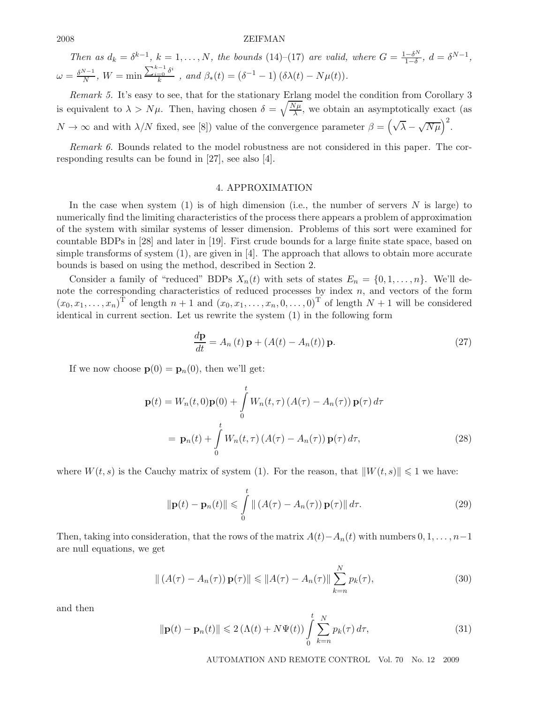*Then as*  $d_k = \delta^{k-1}, k = 1, \ldots, N$ , the bounds (14)–(17) are valid, where  $G = \frac{1-\delta^N}{1-\delta}, d = \delta^{N-1}$ ,  $\omega = \frac{\delta^{N-1}}{N}, \ W = \min \frac{\sum_{i=0}^{k-1} \delta^i}{k}$ , and  $\beta_*(t) = (\delta^{-1} - 1) (\delta \lambda(t) - N\mu(t)).$ 

*Remark 5.* It's easy to see, that for the stationary Erlang model the condition from Corollary 3 is equivalent to  $\lambda > N\mu$ . Then, having chosen  $\delta = \sqrt{\frac{N\mu}{\lambda}}$ , we obtain an asymptotically exact (as  $N \to \infty$  and with  $\lambda/N$  fixed, see [8]) value of the convergence parameter  $\beta = (\sqrt{\lambda} - \sqrt{N\mu})^2$ .

*Remark 6.* Bounds related to the model robustness are not considered in this paper. The corresponding results can be found in [27], see also [4].

### 4. APPROXIMATION

In the case when system  $(1)$  is of high dimension (i.e., the number of servers N is large) to numerically find the limiting characteristics of the process there appears a problem of approximation of the system with similar systems of lesser dimension. Problems of this sort were examined for countable BDPs in [28] and later in [19]. First crude bounds for a large finite state space, based on simple transforms of system  $(1)$ , are given in [4]. The approach that allows to obtain more accurate bounds is based on using the method, described in Section 2.

Consider a family of "reduced" BDPs  $X_n(t)$  with sets of states  $E_n = \{0, 1, \ldots, n\}$ . We'll denote the corresponding characteristics of reduced processes by index  $n$ , and vectors of the form  $(x_0, x_1, \ldots, x_n)$ <sup>T</sup> of length  $n+1$  and  $(x_0, x_1, \ldots, x_n, 0, \ldots, 0)$ <sup>T</sup> of length  $N+1$  will be considered identical in current section. Let us rewrite the system (1) in the following form

$$
\frac{d\mathbf{p}}{dt} = A_n(t)\mathbf{p} + (A(t) - A_n(t))\mathbf{p}.
$$
\n(27)

If we now choose  $\mathbf{p}(0) = \mathbf{p}_n(0)$ , then we'll get:

$$
\mathbf{p}(t) = W_n(t,0)\mathbf{p}(0) + \int_0^t W_n(t,\tau) (A(\tau) - A_n(\tau)) \mathbf{p}(\tau) d\tau
$$

$$
= \mathbf{p}_n(t) + \int_0^t W_n(t,\tau) (A(\tau) - A_n(\tau)) \mathbf{p}(\tau) d\tau,
$$
(28)

where  $W(t, s)$  is the Cauchy matrix of system (1). For the reason, that  $||W(t, s)|| \leq 1$  we have:

$$
\|\mathbf{p}(t) - \mathbf{p}_n(t)\| \leq \int_0^t \| (A(\tau) - A_n(\tau)) \, \mathbf{p}(\tau) \| \, d\tau. \tag{29}
$$

Then, taking into consideration, that the rows of the matrix  $A(t) - A_n(t)$  with numbers  $0, 1, \ldots, n-1$ are null equations, we get

$$
\| (A(\tau) - A_n(\tau)) \mathbf{p}(\tau) \| \leq \| A(\tau) - A_n(\tau) \| \sum_{k=n}^{N} p_k(\tau), \tag{30}
$$

and then

$$
\|\mathbf{p}(t) - \mathbf{p}_n(t)\| \leqslant 2\left(\Lambda(t) + N\Psi(t)\right) \int\limits_0^t \sum_{k=n}^N p_k(\tau) \, d\tau,\tag{31}
$$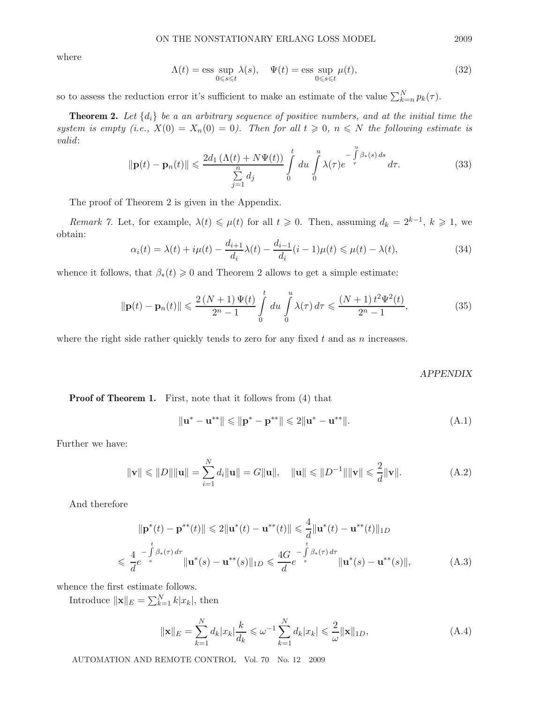where

$$
\Lambda(t) = \operatorname{ess} \sup_{0 \le s \le t} \lambda(s), \quad \Psi(t) = \operatorname{ess} \sup_{0 \le s \le t} \mu(t), \tag{32}
$$

so to assess the reduction error it's sufficient to make an estimate of the value  $\sum_{k=n}^{N} p_k(\tau)$ .

**Theorem 2.** Let  $\{d_i\}$  be a an arbitrary sequence of positive numbers, and at the initial time the *system is empty (i.e.,*  $X(0) = X_n(0) = 0$ ). Then for all  $t \ge 0$ ,  $n \le N$  the following estimate is *valid*:

$$
\|\mathbf{p}(t) - \mathbf{p}_n(t)\| \leq \frac{2d_1\left(\Lambda(t) + N\Psi(t)\right)}{\sum\limits_{j=1}^n d_j} \int\limits_0^t du \int\limits_0^u \lambda(\tau) e^{-\int\limits_{\tau}^u \beta_*(s) ds} d\tau. \tag{33}
$$

The proof of Theorem 2 is given in the Appendix.

*Remark 7.* Let, for example,  $\lambda(t) \leq \mu(t)$  for all  $t \geq 0$ . Then, assuming  $d_k = 2^{k-1}$ ,  $k \geq 1$ , we obtain:

$$
\alpha_i(t) = \lambda(t) + i\mu(t) - \frac{d_{i+1}}{d_i}\lambda(t) - \frac{d_{i-1}}{d_i}(i-1)\mu(t) \leq \mu(t) - \lambda(t),\tag{34}
$$

whence it follows, that  $\beta_*(t) \geq 0$  and Theorem 2 allows to get a simple estimate:

$$
\|\mathbf{p}(t) - \mathbf{p}_n(t)\| \leq \frac{2\left(N+1\right)\Psi(t)}{2^n - 1} \int_0^t du \int_0^u \lambda(\tau) \, d\tau \leq \frac{\left(N+1\right)t^2 \Psi^2(t)}{2^n - 1},\tag{35}
$$

where the right side rather quickly tends to zero for any fixed  $t$  and as  $n$  increases.

#### *APPENDIX*

**Proof of Theorem 1.** First, note that it follows from  $(4)$  that

$$
\|\mathbf{u}^* - \mathbf{u}^{**}\| \le \|\mathbf{p}^* - \mathbf{p}^{**}\| \le 2\|\mathbf{u}^* - \mathbf{u}^{**}\|.
$$
 (A.1)

Further we have:

$$
\|\mathbf{v}\| \leq \|D\| \|\mathbf{u}\| = \sum_{i=1}^{N} d_i \|\mathbf{u}\| = G \|\mathbf{u}\|, \quad \|\mathbf{u}\| \leq \|D^{-1}\| \|\mathbf{v}\| \leq \frac{2}{d} \|\mathbf{v}\|.
$$
 (A.2)

And therefore

$$
\|\mathbf{p}^*(t) - \mathbf{p}^{**}(t)\| \leq 2\|\mathbf{u}^*(t) - \mathbf{u}^{**}(t)\| \leq \frac{4}{d}\|\mathbf{u}^*(t) - \mathbf{u}^{**}(t)\|_{1D}
$$
  

$$
\leq \frac{4}{d}e^{-\int_{s}^{t} \beta_*(\tau) d\tau} \|\mathbf{u}^*(s) - \mathbf{u}^{**}(s)\|_{1D} \leq \frac{4G}{d}e^{-\int_{s}^{t} \beta_*(\tau) d\tau} \|\mathbf{u}^*(s) - \mathbf{u}^{**}(s)\|,
$$
 (A.3)

whence the first estimate follows.

Introduce  $\|\mathbf{x}\|_E = \sum_{k=1}^N k|x_k|$ , then

$$
\|\mathbf{x}\|_{E} = \sum_{k=1}^{N} d_{k} |x_{k}| \frac{k}{d_{k}} \le \omega^{-1} \sum_{k=1}^{N} d_{k} |x_{k}| \le \frac{2}{\omega} \|\mathbf{x}\|_{1D},
$$
\n(A.4)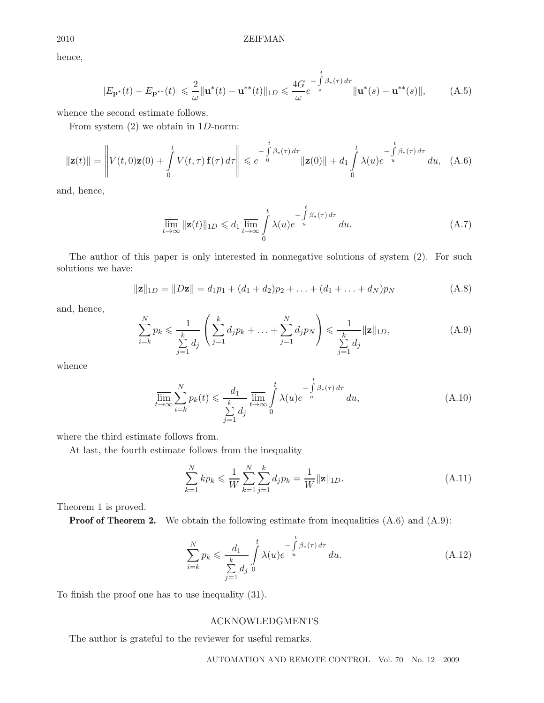hence,

$$
|E_{\mathbf{p}^*}(t) - E_{\mathbf{p}^{**}}(t)| \leq \frac{2}{\omega} ||\mathbf{u}^*(t) - \mathbf{u}^{**}(t)||_{1D} \leq \frac{4G}{\omega} e^{-\int_{s}^{t} \beta_*(\tau) d\tau} ||\mathbf{u}^*(s) - \mathbf{u}^{**}(s)||, \tag{A.5}
$$

whence the second estimate follows.

From system  $(2)$  we obtain in 1D-norm:

$$
\|\mathbf{z}(t)\| = \left\| V(t,0)\mathbf{z}(0) + \int_{0}^{t} V(t,\tau) \mathbf{f}(\tau) d\tau \right\| \leq e^{-\int_{0}^{t} \beta_{*}(\tau) d\tau} \|\mathbf{z}(0)\| + d_1 \int_{0}^{t} \lambda(u) e^{-\int_{u}^{t} \beta_{*}(\tau) d\tau} du, \quad (A.6)
$$

and, hence,

$$
\overline{\lim}_{t \to \infty} ||\mathbf{z}(t)||_{1D} \leq d_1 \overline{\lim}_{t \to \infty} \int_{0}^{t} \lambda(u) e^{-\int_{u}^{t} \beta_*(\tau) d\tau} du.
$$
\n(A.7)

The author of this paper is only interested in nonnegative solutions of system (2). For such solutions we have:

$$
\|\mathbf{z}\|_{1D} = \|D\mathbf{z}\| = d_1p_1 + (d_1 + d_2)p_2 + \ldots + (d_1 + \ldots + d_N)p_N
$$
 (A.8)

and, hence,

$$
\sum_{i=k}^{N} p_k \le \frac{1}{\sum_{j=1}^{k} d_j} \left( \sum_{j=1}^{k} d_j p_k + \dots + \sum_{j=1}^{N} d_j p_N \right) \le \frac{1}{\sum_{j=1}^{k} d_j} ||\mathbf{z}||_{1D},
$$
\n(A.9)

whence

$$
\overline{\lim}_{t \to \infty} \sum_{i=k}^{N} p_k(t) \leq \frac{d_1}{\sum_{j=1}^{k} d_j} \overline{\lim}_{t \to \infty} \int_{0}^{t} \lambda(u) e^{-\int_{u}^{t} \beta_*(\tau) d\tau} du,
$$
\n(A.10)

where the third estimate follows from.

At last, the fourth estimate follows from the inequality

$$
\sum_{k=1}^{N} k p_k \leq \frac{1}{W} \sum_{k=1}^{N} \sum_{j=1}^{k} d_j p_k = \frac{1}{W} ||\mathbf{z}||_{1D}.
$$
\n(A.11)

Theorem 1 is proved.

**Proof of Theorem 2.** We obtain the following estimate from inequalities  $(A.6)$  and  $(A.9)$ :

$$
\sum_{i=k}^{N} p_k \leq \frac{d_1}{\sum_{j=1}^{k} d_j} \int_{0}^{t} \lambda(u) e^{-\int_{u}^{t} \beta_*(\tau) d\tau} du.
$$
\n(A.12)

To finish the proof one has to use inequality (31).

# ACKNOWLEDGMENTS

The author is grateful to the reviewer for useful remarks.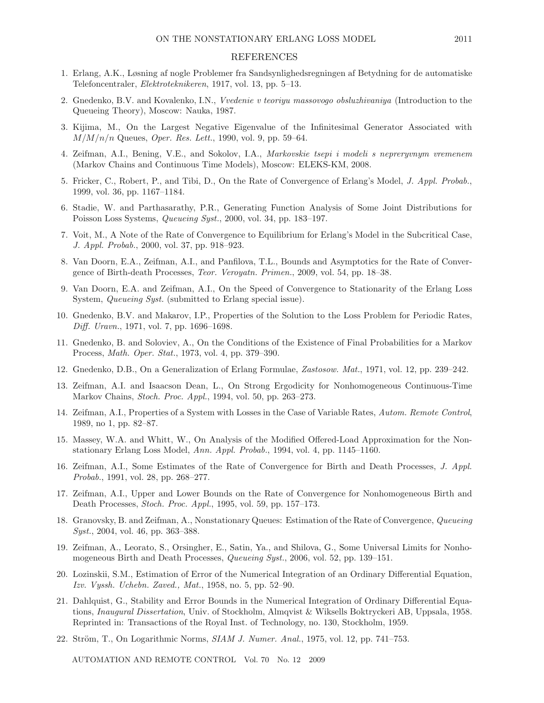#### REFERENCES

- 1. Erlang, A.K., Løsning af nogle Problemer fra Sandsynlighedsregningen af Betydning for de automatiske Telefoncentraler, *Elektroteknikeren*, 1917, vol. 13, pp. 5–13.
- 2. Gnedenko, B.V. and Kovalenko, I.N., *Vvedenie v teoriyu massovogo obsluzhivaniya* (Introduction to the Queueing Theory), Moscow: Nauka, 1987.
- 3. Kijima, M., On the Largest Negative Eigenvalue of the Infinitesimal Generator Associated with  $M/M/n/n$  Queues, *Oper. Res. Lett.*, 1990, vol. 9, pp. 59–64.
- 4. Zeifman, A.I., Bening, V.E., and Sokolov, I.A., *Markovskie tsepi i modeli s nepreryvnym vremenem* (Markov Chains and Continuous Time Models), Moscow: ELEKS-KM, 2008.
- 5. Fricker, C., Robert, P., and Tibi, D., On the Rate of Convergence of Erlang's Model, *J. Appl. Probab.*, 1999, vol. 36, pp. 1167–1184.
- 6. Stadie, W. and Parthasarathy, P.R., Generating Function Analysis of Some Joint Distributions for Poisson Loss Systems, *Queueing Syst.*, 2000, vol. 34, pp. 183–197.
- 7. Voit, M., A Note of the Rate of Convergence to Equilibrium for Erlang's Model in the Subcritical Case, *J. Appl. Probab.*, 2000, vol. 37, pp. 918–923.
- 8. Van Doorn, E.A., Zeifman, A.I., and Panfilova, T.L., Bounds and Asymptotics for the Rate of Convergence of Birth-death Processes, *Teor. Veroyatn. Primen.*, 2009, vol. 54, pp. 18–38.
- 9. Van Doorn, E.A. and Zeifman, A.I., On the Speed of Convergence to Stationarity of the Erlang Loss System, *Queueing Syst.* (submitted to Erlang special issue).
- 10. Gnedenko, B.V. and Makarov, I.P., Properties of the Solution to the Loss Problem for Periodic Rates, *Diff. Uravn.*, 1971, vol. 7, pp. 1696–1698.
- 11. Gnedenko, B. and Soloviev, A., On the Conditions of the Existence of Final Probabilities for a Markov Process, *Math. Oper. Stat.*, 1973, vol. 4, pp. 379–390.
- 12. Gnedenko, D.B., On a Generalization of Erlang Formulae, *Zastosow. Mat.*, 1971, vol. 12, pp. 239–242.
- 13. Zeifman, A.I. and Isaacson Dean, L., On Strong Ergodicity for Nonhomogeneous Continuous-Time Markov Chains, *Stoch. Proc. Appl.*, 1994, vol. 50, pp. 263–273.
- 14. Zeifman, A.I., Properties of a System with Losses in the Case of Variable Rates, *Autom. Remote Control*, 1989, no 1, pp. 82–87.
- 15. Massey, W.A. and Whitt, W., On Analysis of the Modified Offered-Load Approximation for the Nonstationary Erlang Loss Model, *Ann. Appl. Probab.*, 1994, vol. 4, pp. 1145–1160.
- 16. Zeifman, A.I., Some Estimates of the Rate of Convergence for Birth and Death Processes, *J. Appl. Probab.*, 1991, vol. 28, pp. 268–277.
- 17. Zeifman, A.I., Upper and Lower Bounds on the Rate of Convergence for Nonhomogeneous Birth and Death Processes, *Stoch. Proc. Appl.*, 1995, vol. 59, pp. 157–173.
- 18. Granovsky, B. and Zeifman, A., Nonstationary Queues: Estimation of the Rate of Convergence, *Queueing Syst.*, 2004, vol. 46, pp. 363–388.
- 19. Zeifman, A., Leorato, S., Orsingher, E., Satin, Ya., and Shilova, G., Some Universal Limits for Nonhomogeneous Birth and Death Processes, *Queueing Syst.*, 2006, vol. 52, pp. 139–151.
- 20. Lozinskii, S.M., Estimation of Error of the Numerical Integration of an Ordinary Differential Equation, *Izv. Vyssh. Uchebn. Zaved., Mat.*, 1958, no. 5, pp. 52–90.
- 21. Dahlquist, G., Stability and Error Bounds in the Numerical Integration of Ordinary Differential Equations, *Inaugural Dissertation*, Univ. of Stockholm, Almqvist & Wiksells Boktryckeri AB, Uppsala, 1958. Reprinted in: Transactions of the Royal Inst. of Technology, no. 130, Stockholm, 1959.
- 22. Ström, T., On Logarithmic Norms, *SIAM J. Numer. Anal.*, 1975, vol. 12, pp. 741–753.